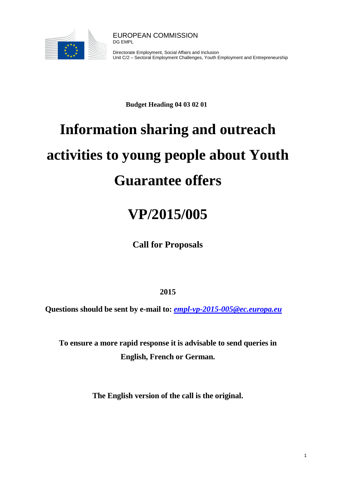

Directorate Employment, Social Affairs and Inclusion Unit C/2 – Sectoral Employment Challenges, Youth Employment and Entrepreneurship

**Budget Heading 04 03 02 01**

# **Information sharing and outreach activities to young people about Youth Guarantee offers**

# **VP/2015/005**

**Call for Proposals**

**2015**

**Questions should be sent by e-mail to:** *[empl-vp-2015-005@ec.europa.eu](mailto:empl-vp-2015-005@ec.europa.eu)*

**To ensure a more rapid response it is advisable to send queries in English, French or German.** 

**The English version of the call is the original.**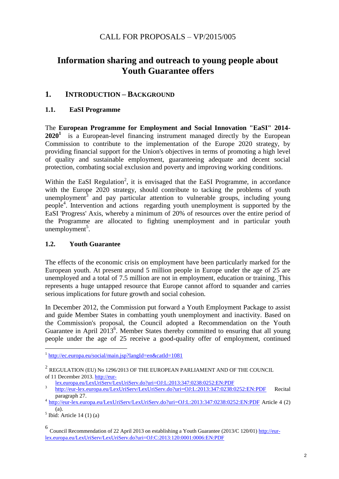# CALL FOR PROPOSALS – VP/2015/005

# **Information sharing and outreach to young people about Youth Guarantee offers**

# **1. INTRODUCTION – BACKGROUND**

# **1.1. EaSI Programme**

The **European Programme for Employment and Social Innovation "EaSI" 2014-** 2020<sup>1</sup> is a European-level financing instrument managed directly by the European Commission to contribute to the implementation of the Europe 2020 strategy, by providing financial support for the Union's objectives in terms of promoting a high level of quality and sustainable employment, guaranteeing adequate and decent social protection, combating social exclusion and poverty and improving working conditions.

Within the EaSI Regulation<sup>2</sup>, it is envisaged that the EaSI Programme, in accordance with the Europe 2020 strategy, should contribute to tacking the problems of youth unemployment<sup>3</sup> and pay particular attention to vulnerable groups, including young people<sup>4</sup> . Intervention and actions regarding youth unemployment is supported by the EaSI 'Progress' Axis, whereby a minimum of 20% of resources over the entire period of the Programme are allocated to fighting unemployment and in particular youth  $unemployment<sup>5</sup>$ .

# **1.2. Youth Guarantee**

The effects of the economic crisis on employment have been particularly marked for the European youth. At present around 5 million people in Europe under the age of 25 are unemployed and a total of 7.5 million are not in employment, education or training. This represents a huge untapped resource that Europe cannot afford to squander and carries serious implications for future growth and social cohesion.

In December 2012, the Commission put forward a Youth Employment Package to assist and guide Member States in combatting youth unemployment and inactivity. Based on the Commission's proposal, the Council adopted a Recommendation on the Youth Guarantee in April  $2013^6$ . Member States thereby committed to ensuring that all young people under the age of 25 receive a good-quality offer of employment, continued

 $<sup>5</sup>$  Ibid: Article 14 (1) (a)</sup>

 1 <http://ec.europa.eu/social/main.jsp?langId=en&catId=1081>

 $^2$  REGULATION (EU) No 1296/2013 OF THE EUROPEAN PARLIAMENT AND OF THE COUNCIL of 11 December 2013[. http://eur-](http://eur-lex.europa.eu/LexUriServ/LexUriServ.do?uri=OJ:L:2013:347:0238:0252:EN:PDF)

[lex.europa.eu/LexUriServ/LexUriServ.do?uri=OJ:L:2013:347:0238:0252:EN:PDF](http://eur-lex.europa.eu/LexUriServ/LexUriServ.do?uri=OJ:L:2013:347:0238:0252:EN:PDF)

<sup>3</sup> <http://eur-lex.europa.eu/LexUriServ/LexUriServ.do?uri=OJ:L:2013:347:0238:0252:EN:PDF> Recital paragraph 27.

<sup>&</sup>lt;sup>4</sup> <http://eur-lex.europa.eu/LexUriServ/LexUriServ.do?uri=OJ:L:2013:347:0238:0252:EN:PDF> Article 4 (2) (a).

<sup>&</sup>lt;sup>6</sup> Council Recommendation of 22 April 2013 on establishing a Youth Guarantee (2013/C 120/01) [http://eur](http://eur-lex.europa.eu/LexUriServ/LexUriServ.do?uri=OJ:C:2013:120:0001:0006:EN:PDF)[lex.europa.eu/LexUriServ/LexUriServ.do?uri=OJ:C:2013:120:0001:0006:EN:PDF](http://eur-lex.europa.eu/LexUriServ/LexUriServ.do?uri=OJ:C:2013:120:0001:0006:EN:PDF)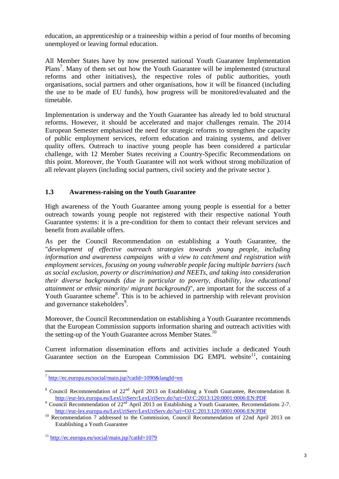education, an apprenticeship or a traineeship within a period of four months of becoming unemployed or leaving formal education.

All Member States have by now presented national Youth Guarantee Implementation Plans<sup>7</sup>. Many of them set out how the Youth Guarantee will be implemented (structural reforms and other initiatives), the respective roles of public authorities, youth organisations, social partners and other organisations, how it will be financed (including the use to be made of EU funds), how progress will be monitored/evaluated and the timetable.

Implementation is underway and the Youth Guarantee has already led to bold structural reforms. However, it should be accelerated and major challenges remain. The 2014 European Semester emphasised the need for strategic reforms to strengthen the capacity of public employment services, reform education and training systems, and deliver quality offers. Outreach to inactive young people has been considered a particular challenge, with 12 Member States receiving a Country-Specific Recommendations on this point. Moreover, the Youth Guarantee will not work without strong mobilization of all relevant players (including social partners, civil society and the private sector ).

# **1.3 Awareness-raising on the Youth Guarantee**

High awareness of the Youth Guarantee among young people is essential for a better outreach towards young people not registered with their respective national Youth Guarantee systems: it is a pre-condition for them to contact their relevant services and benefit from available offers.

As per the Council Recommendation on establishing a Youth Guarantee, the "*development of effective outreach strategies towards young people, including information and awareness campaigns with a view to catchment and registration with employment services, focusing on young vulnerable people facing multiple barriers (such as social exclusion, poverty or discrimination) and NEETs, and taking into consideration their diverse backgrounds (due in particular to poverty, disability, low educational attainment or ethnic minority/ migrant background)*", are important for the success of a Youth Guarantee scheme<sup>8</sup>. This is to be achieved in partnership with relevant provision and governance stakeholders<sup>9</sup>.

Moreover, the Council Recommendation on establishing a Youth Guarantee recommends that the European Commission supports information sharing and outreach activities with the setting-up of the Youth Guarantee across Member States.<sup>10</sup>

Current information dissemination efforts and activities include a dedicated Youth Guarantee section on the European Commission DG EMPL website<sup>11</sup>, containing

<sup>&</sup>lt;sup>7</sup> <http://ec.europa.eu/social/main.jsp?catId=1090&langId=en>

<sup>&</sup>lt;sup>8</sup> Council Recommendation of  $22^{nd}$  April 2013 on Establishing a Youth Guarantee, Recomendation 8. <http://eur-lex.europa.eu/LexUriServ/LexUriServ.do?uri=OJ:C:2013:120:0001:0006:EN:PDF>

 $9^9$  Council Recommendation of  $22^{nd}$  April 2013 on Establishing a Youth Guarantee, Recomendations 2-7. <http://eur-lex.europa.eu/LexUriServ/LexUriServ.do?uri=OJ:C:2013:120:0001:0006:EN:PDF>

<sup>&</sup>lt;sup>10</sup> Recommendation 7 addressed to the Commission, Council Recommendation of 22nd April 2013 on Establishing a Youth Guarantee

<sup>11</sup> <http://ec.europa.eu/social/main.jsp?catId=1079>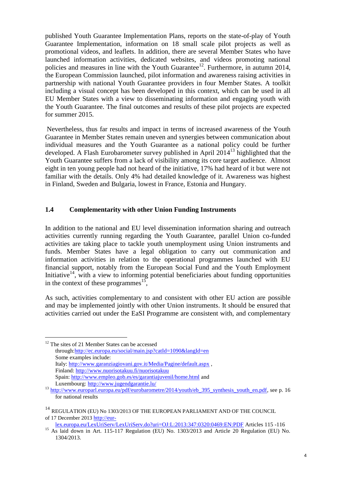published Youth Guarantee Implementation Plans, reports on the state-of-play of Youth Guarantee Implementation, information on 18 small scale pilot projects as well as promotional videos, and leaflets. In addition, there are several Member States who have launched information activities, dedicated websites, and videos promoting national policies and measures in line with the Youth Guarantee<sup>12</sup>. Furthermore, in autumn 2014, the European Commission launched, pilot information and awareness raising activities in partnership with national Youth Guarantee providers in four Member States. A toolkit including a visual concept has been developed in this context, which can be used in all EU Member States with a view to disseminating information and engaging youth with the Youth Guarantee. The final outcomes and results of these pilot projects are expected for summer 2015.

Nevertheless, thus far results and impact in terms of increased awareness of the Youth Guarantee in Member States remain uneven and synergies between communication about individual measures and the Youth Guarantee as a national policy could be further developed. A Flash Eurobarometer survey published in April  $2014<sup>13</sup>$  highlighted that the Youth Guarantee suffers from a lack of visibility among its core target audience. Almost eight in ten young people had not heard of the initiative, 17% had heard of it but were not familiar with the details. Only 4% had detailed knowledge of it. Awareness was highest in Finland, Sweden and Bulgaria, lowest in France, Estonia and Hungary.

#### **1.4 Complementarity with other Union Funding Instruments**

In addition to the national and EU level dissemination information sharing and outreach activities currently running regarding the Youth Guarantee, parallel Union co-funded activities are taking place to tackle youth unemployment using Union instruments and funds. Member States have a legal obligation to carry out communication and information activities in relation to the operational programmes launched with EU financial support, notably from the European Social Fund and the Youth Employment Initiative<sup>14</sup>, with a view to informing potential beneficiaries about funding opportunities in the context of these programmes<sup>15</sup>,

As such, activities complementary to and consistent with other EU action are possible and may be implemented jointly with other Union instruments. It should be ensured that activities carried out under the EaSI Programme are consistent with, and complementary

<sup>12</sup> The sites of 21 Member States can be accessed through[:http://ec.europa.eu/social/main.jsp?catId=1090&langId=en](http://ec.europa.eu/social/main.jsp?catId=1090&langId=en)  Some examples include: Italy:<http://www.garanziagiovani.gov.it/Media/Pagine/default.aspx> , Finland:<http://www.nuorisotakuu.fi/nuorisotakuu> Spain:<http://www.empleo.gob.es/es/garantiajuvenil/home.html> and Luxembourg:<http://www.jugendgarantie.lu/>

 $\overline{a}$ 

[lex.europa.eu/LexUriServ/LexUriServ.do?uri=OJ:L:2013:347:0320:0469:EN:PDF](http://eur-lex.europa.eu/LexUriServ/LexUriServ.do?uri=OJ:L:2013:347:0320:0469:EN:PDF) Articles 115 -116

<sup>&</sup>lt;sup>13</sup> [http://www.europarl.europa.eu/pdf/eurobarometre/2014/youth/eb\\_395\\_synthesis\\_youth\\_en.pdf,](http://www.europarl.europa.eu/pdf/eurobarometre/2014/youth/eb_395_synthesis_youth_en.pdf) see p. 16 for national results

<sup>&</sup>lt;sup>14</sup> REGULATION (EU) No 1303/2013 OF THE EUROPEAN PARLIAMENT AND OF THE COUNCIL of 17 December 2013 [http://eur-](http://eur-lex.europa.eu/LexUriServ/LexUriServ.do?uri=OJ:L:2013:347:0320:0469:EN:PDF)

<sup>&</sup>lt;sup>15</sup> As laid down in Art. 115-117 Regulation (EU) No. 1303/2013 and Article 20 Regulation (EU) No. 1304/2013.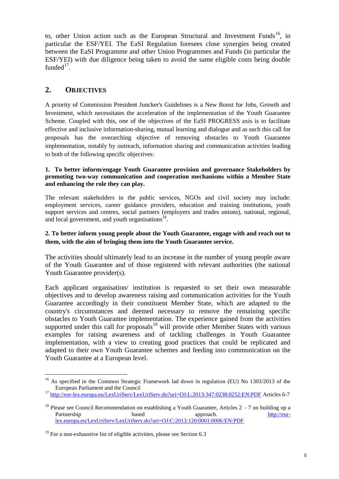to, other Union action such as the European Structural and Investment Funds<sup>16</sup>, in particular the ESF/YEI. The EaSI Regulation foresees close synergies being created between the EaSI Programme and other Union Programmes and Funds (in particular the ESF/YEI) with due diligence being taken to avoid the same eligible costs being double funded $17$ .

# **2. OBJECTIVES**

A priority of Commission President Juncker's Guidelines is a New Boost for Jobs, Growth and Investment, which necessitates the acceleration of the implementation of the Youth Guarantee Scheme. Coupled with this, one of the objectives of the EaSI PROGRESS axis is to facilitate effective and inclusive information-sharing, mutual learning and dialogue and as such this call for proposals has the overarching objective of removing obstacles to Youth Guarantee implementation, notably by outreach, information sharing and communication activities leading to both of the following specific objectives:

#### **1. To better inform/engage Youth Guarantee provision and governance Stakeholders by promoting two-way communication and cooperation mechanisms within a Member State and enhancing the role they can play.**

The relevant stakeholders in the public services, NGOs and civil society may include: employment services, career guidance providers, education and training institutions, youth support services and centres, social partners (employers and trades unions), national, regional, and local government, and youth organisations<sup>18</sup>.

### **2. To better inform young people about the Youth Guarantee, engage with and reach out to them, with the aim of bringing them into the Youth Guarantee service.**

The activities should ultimately lead to an increase in the number of young people aware of the Youth Guarantee and of those registered with relevant authorities (the national Youth Guarantee provider(s).

Each applicant organisation/ institution is requested to set their own measurable objectives and to develop awareness raising and communication activities for the Youth Guarantee accordingly in their constituent Member State, which are adapted to the country's circumstances and deemed necessary to remove the remaining specific obstacles to Youth Guarantee implementation. The experience gained from the activities supported under this call for proposals<sup>19</sup> will provide other Member States with various examples for raising awareness and of tackling challenges in Youth Guarantee implementation, with a view to creating good practices that could be replicated and adapted to their own Youth Guarantee schemes and feeding into communication on the Youth Guarantee at a European level.

l <sup>16</sup> As specified in the Common Strategic Framework lad down in regulation (EU) No 1303/2013 of the European Parliament and the Council

<sup>17</sup> <http://eur-lex.europa.eu/LexUriServ/LexUriServ.do?uri=OJ:L:2013:347:0238:0252:EN:PDF> Articles 6-7

<sup>&</sup>lt;sup>18</sup> Please see Council Recommendation on establishing a Youth Guarantee, Articles  $2 - 7$  on building up a Partnership based based approach. [http://eur](http://eur-lex.europa.eu/LexUriServ/LexUriServ.do?uri=OJ:C:2013:120:0001:0006:EN:PDF)[lex.europa.eu/LexUriServ/LexUriServ.do?uri=OJ:C:2013:120:0001:0006:EN:PDF](http://eur-lex.europa.eu/LexUriServ/LexUriServ.do?uri=OJ:C:2013:120:0001:0006:EN:PDF)

 $19$  For a non-exhaustive list of eligible activities, please see Section 6.3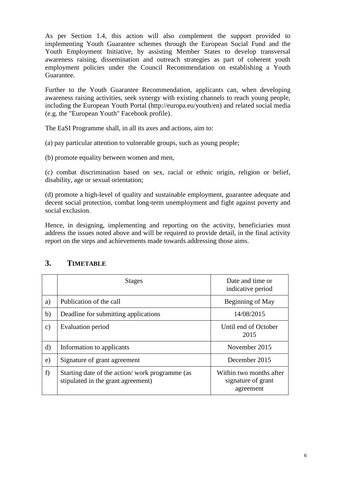As per Section 1.4, this action will also complement the support provided to implementing Youth Guarantee schemes through the European Social Fund and the Youth Employment Initiative, by assisting Member States to develop transversal awareness raising, dissemination and outreach strategies as part of coherent youth employment policies under the Council Recommendation on establishing a Youth Guarantee.

Further to the Youth Guarantee Recommendation, applicants can, when developing awareness raising activities, seek synergy with existing channels to reach young people, including the European Youth Portal (http://europa.eu/youth/en) and related social media (e.g. the "European Youth" Facebook profile).

The EaSI Programme shall, in all its axes and actions, aim to:

(a) pay particular attention to vulnerable groups, such as young people;

(b) promote equality between women and men,

(c) combat discrimination based on sex, racial or ethnic origin, religion or belief, disability, age or sexual orientation;

(d) promote a high-level of quality and sustainable employment, guarantee adequate and decent social protection, combat long-term unemployment and fight against poverty and social exclusion.

Hence, in designing, implementing and reporting on the activity, beneficiaries must address the issues noted above and will be required to provide detail, in the final activity report on the steps and achievements made towards addressing those aims.

|               | <b>Stages</b>                                                                        | Date and time or<br>indicative period                      |
|---------------|--------------------------------------------------------------------------------------|------------------------------------------------------------|
| a)            | Publication of the call                                                              | Beginning of May                                           |
| b)            | Deadline for submitting applications                                                 | 14/08/2015                                                 |
| $\mathbf{c})$ | Evaluation period                                                                    | Until end of October<br>2015                               |
| d)            | Information to applicants                                                            | November 2015                                              |
| e)            | Signature of grant agreement                                                         | December 2015                                              |
| f)            | Starting date of the action/work programme (as<br>stipulated in the grant agreement) | Within two months after<br>signature of grant<br>agreement |

# **3. TIMETABLE**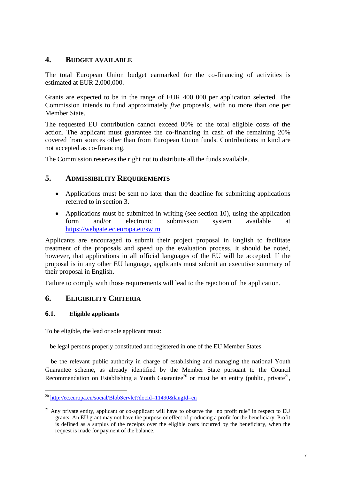# **4. BUDGET AVAILABLE**

The total European Union budget earmarked for the co-financing of activities is estimated at EUR 2,000,000.

Grants are expected to be in the range of EUR 400 000 per application selected. The Commission intends to fund approximately *five* proposals, with no more than one per Member State.

The requested EU contribution cannot exceed 80% of the total eligible costs of the action. The applicant must guarantee the co-financing in cash of the remaining 20% covered from sources other than from European Union funds. Contributions in kind are not accepted as co-financing.

The Commission reserves the right not to distribute all the funds available.

# **5. ADMISSIBILITY REQUIREMENTS**

- Applications must be sent no later than the deadline for submitting applications referred to in section 3.
- Applications must be submitted in writing (see section 10), using the application form and/or electronic submission system available at <https://webgate.ec.europa.eu/swim>

Applicants are encouraged to submit their project proposal in English to facilitate treatment of the proposals and speed up the evaluation process. It should be noted, however, that applications in all official languages of the EU will be accepted. If the proposal is in any other EU language, applicants must submit an executive summary of their proposal in English.

Failure to comply with those requirements will lead to the rejection of the application.

# **6. ELIGIBILITY CRITERIA**

# **6.1. Eligible applicants**

To be eligible, the lead or sole applicant must:

– be legal persons properly constituted and registered in one of the EU Member States.

– be the relevant public authority in charge of establishing and managing the national Youth Guarantee scheme, as already identified by the Member State pursuant to the Council Recommendation on Establishing a Youth Guarantee<sup>20</sup> or must be an entity (public, private<sup>21</sup>,

l <sup>20</sup> <http://ec.europa.eu/social/BlobServlet?docId=11490&langId=en>

 $21$  Any private entity, applicant or co-applicant will have to observe the "no profit rule" in respect to EU grants. An EU grant may not have the purpose or effect of producing a profit for the beneficiary. Profit is defined as a surplus of the receipts over the eligible costs incurred by the beneficiary, when the request is made for payment of the balance.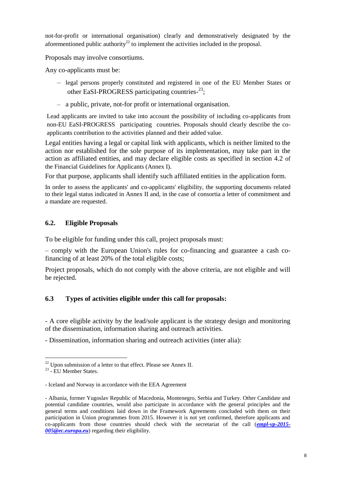not-for-profit or international organisation) clearly and demonstratively designated by the aforementioned public authority<sup>22</sup> to implement the activities included in the proposal.

Proposals may involve consortiums.

Any co-applicants must be:

- legal persons properly constituted and registered in one of the EU Member States or other EaSI-PROGRESS participating countries-23;
- a public, private, not-for profit or international organisation.

Lead applicants are invited to take into account the possibility of including co-applicants from non-EU EaSI-PROGRESS participating countries. Proposals should clearly describe the coapplicants contribution to the activities planned and their added value.

Legal entities having a legal or capital link with applicants, which is neither limited to the action nor established for the sole purpose of its implementation, may take part in the action as affiliated entities, and may declare eligible costs as specified in section 4.2 of the Financial Guidelines for Applicants (Annex I).

For that purpose, applicants shall identify such affiliated entities in the application form.

In order to assess the applicants' and co-applicants' eligibility, the supporting documents related to their legal status indicated in Annex II and, in the case of consortia a letter of commitment and a mandate are requested.

# **6.2. Eligible Proposals**

To be eligible for funding under this call, project proposals must:

– comply with the European Union's rules for co-financing and guarantee a cash cofinancing of at least 20% of the total eligible costs;

Project proposals, which do not comply with the above criteria, are not eligible and will be rejected.

# **6.3 Types of activities eligible under this call for proposals:**

- A core eligible activity by the lead/sole applicant is the strategy design and monitoring of the dissemination, information sharing and outreach activities.

- Dissemination, information sharing and outreach activities (inter alia):

l  $^{22}$  Upon submission of a letter to that effect. Please see Annex II.

<sup>&</sup>lt;sup>23</sup> - EU Member States.

<sup>-</sup> Iceland and Norway in accordance with the EEA Agreement

<sup>-</sup> Albania, former Yugoslav Republic of Macedonia, Montenegro, Serbia and Turkey. Other Candidate and potential candidate countries, would also participate in accordance with the general principles and the general terms and conditions laid down in the Framework Agreements concluded with them on their participation in Union programmes from 2015. However it is not yet confirmed, therefore applicants and co-applicants from those countries should check with the secretariat of the call (*[empl-vp-2015-](mailto:empl-vp-2015-005@ec.europa.eu) [005@ec.europa.eu](mailto:empl-vp-2015-005@ec.europa.eu)*) regarding their eligibility.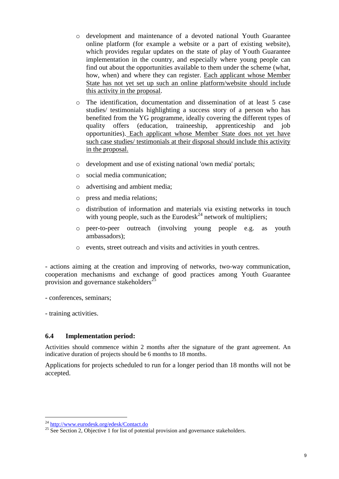- o development and maintenance of a devoted national Youth Guarantee online platform (for example a website or a part of existing website), which provides regular updates on the state of play of Youth Guarantee implementation in the country, and especially where young people can find out about the opportunities available to them under the scheme (what, how, when) and where they can register. Each applicant whose Member State has not yet set up such an online platform/website should include this activity in the proposal.
- o The identification, documentation and dissemination of at least 5 case studies/ testimonials highlighting a success story of a person who has benefited from the YG programme, ideally covering the different types of quality offers (education, traineeship, apprenticeship and job opportunities). Each applicant whose Member State does not yet have such case studies/ testimonials at their disposal should include this activity in the proposal.
- o development and use of existing national 'own media' portals;
- o social media communication;
- o advertising and ambient media;
- o press and media relations;
- o distribution of information and materials via existing networks in touch with young people, such as the Eurodesk<sup>24</sup> network of multipliers;
- o peer-to-peer outreach (involving young people e.g. as youth ambassadors);
- o events, street outreach and visits and activities in youth centres.

- actions aiming at the creation and improving of networks, two-way communication, cooperation mechanisms and exchange of good practices among Youth Guarantee provision and governance stakeholders<sup>25</sup>

- conferences, seminars;

- training activities.

l

#### **6.4 Implementation period:**

Activities should commence within 2 months after the signature of the grant agreement. An indicative duration of projects should be 6 months to 18 months.

Applications for projects scheduled to run for a longer period than 18 months will not be accepted.

<sup>24</sup> <http://www.eurodesk.org/edesk/Contact.do>

 $\frac{25}{25}$  See Section 2. Objective 1 for list of potential provision and governance stakeholders.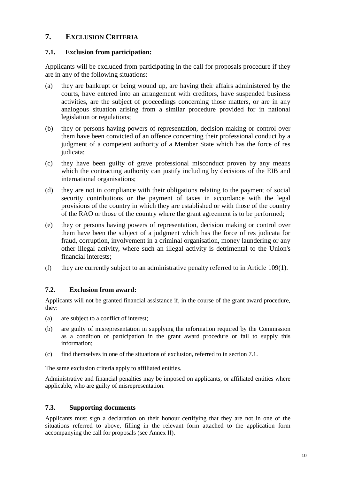# **7. EXCLUSION CRITERIA**

### **7.1. Exclusion from participation:**

Applicants will be excluded from participating in the call for proposals procedure if they are in any of the following situations:

- (a) they are bankrupt or being wound up, are having their affairs administered by the courts, have entered into an arrangement with creditors, have suspended business activities, are the subject of proceedings concerning those matters, or are in any analogous situation arising from a similar procedure provided for in national legislation or regulations;
- (b) they or persons having powers of representation, decision making or control over them have been convicted of an offence concerning their professional conduct by a judgment of a competent authority of a Member State which has the force of res judicata;
- (c) they have been guilty of grave professional misconduct proven by any means which the contracting authority can justify including by decisions of the EIB and international organisations;
- (d) they are not in compliance with their obligations relating to the payment of social security contributions or the payment of taxes in accordance with the legal provisions of the country in which they are established or with those of the country of the RAO or those of the country where the grant agreement is to be performed;
- (e) they or persons having powers of representation, decision making or control over them have been the subject of a judgment which has the force of res judicata for fraud, corruption, involvement in a criminal organisation, money laundering or any other illegal activity, where such an illegal activity is detrimental to the Union's financial interests;
- (f) they are currently subject to an administrative penalty referred to in Article 109(1).

# **7.2. Exclusion from award:**

Applicants will not be granted financial assistance if, in the course of the grant award procedure, they:

- (a) are subject to a conflict of interest;
- (b) are guilty of misrepresentation in supplying the information required by the Commission as a condition of participation in the grant award procedure or fail to supply this information;
- (c) find themselves in one of the situations of exclusion, referred to in section 7.1.

The same exclusion criteria apply to affiliated entities.

Administrative and financial penalties may be imposed on applicants, or affiliated entities where applicable, who are guilty of misrepresentation.

# **7.3. Supporting documents**

Applicants must sign a declaration on their honour certifying that they are not in one of the situations referred to above, filling in the relevant form attached to the application form accompanying the call for proposals (see Annex II).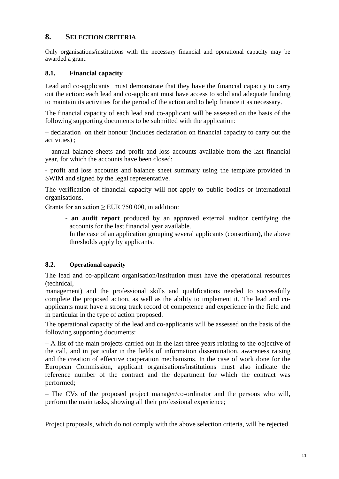# **8. SELECTION CRITERIA**

Only organisations/institutions with the necessary financial and operational capacity may be awarded a grant.

## **8.1. Financial capacity**

Lead and co-applicants must demonstrate that they have the financial capacity to carry out the action: each lead and co-applicant must have access to solid and adequate funding to maintain its activities for the period of the action and to help finance it as necessary.

The financial capacity of each lead and co-applicant will be assessed on the basis of the following supporting documents to be submitted with the application:

– declaration on their honour (includes declaration on financial capacity to carry out the activities) ;

– annual balance sheets and profit and loss accounts available from the last financial year, for which the accounts have been closed:

- profit and loss accounts and balance sheet summary using the template provided in SWIM and signed by the legal representative.

The verification of financial capacity will not apply to public bodies or international organisations.

Grants for an action  $>$  EUR 750 000, in addition:

- **an audit report** produced by an approved external auditor certifying the accounts for the last financial year available.
	- In the case of an application grouping several applicants (consortium), the above thresholds apply by applicants.

#### **8.2. Operational capacity**

The lead and co-applicant organisation/institution must have the operational resources (technical,

management) and the professional skills and qualifications needed to successfully complete the proposed action, as well as the ability to implement it. The lead and coapplicants must have a strong track record of competence and experience in the field and in particular in the type of action proposed.

The operational capacity of the lead and co-applicants will be assessed on the basis of the following supporting documents:

– A list of the main projects carried out in the last three years relating to the objective of the call, and in particular in the fields of information dissemination, awareness raising and the creation of effective cooperation mechanisms. In the case of work done for the European Commission, applicant organisations/institutions must also indicate the reference number of the contract and the department for which the contract was performed;

– The CVs of the proposed project manager/co-ordinator and the persons who will, perform the main tasks, showing all their professional experience;

Project proposals, which do not comply with the above selection criteria, will be rejected.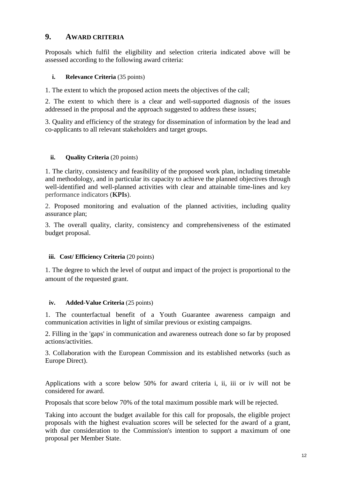# **9. AWARD CRITERIA**

Proposals which fulfil the eligibility and selection criteria indicated above will be assessed according to the following award criteria:

# **i. Relevance Criteria** (35 points)

1. The extent to which the proposed action meets the objectives of the call;

2. The extent to which there is a clear and well-supported diagnosis of the issues addressed in the proposal and the approach suggested to address these issues;

3. Quality and efficiency of the strategy for dissemination of information by the lead and co-applicants to all relevant stakeholders and target groups.

# **ii. Quality Criteria** (20 points)

1. The clarity, consistency and feasibility of the proposed work plan, including timetable and methodology, and in particular its capacity to achieve the planned objectives through well-identified and well-planned activities with clear and attainable time-lines and key performance indicators (**KPIs**).

2. Proposed monitoring and evaluation of the planned activities, including quality assurance plan;

3. The overall quality, clarity, consistency and comprehensiveness of the estimated budget proposal.

# **iii. Cost/ Efficiency Criteria** (20 points)

1. The degree to which the level of output and impact of the project is proportional to the amount of the requested grant.

# **iv. Added-Value Criteria** (25 points)

1. The counterfactual benefit of a Youth Guarantee awareness campaign and communication activities in light of similar previous or existing campaigns.

2. Filling in the 'gaps' in communication and awareness outreach done so far by proposed actions/activities.

3. Collaboration with the European Commission and its established networks (such as Europe Direct).

Applications with a score below 50% for award criteria i, ii, iii or iv will not be considered for award.

Proposals that score below 70% of the total maximum possible mark will be rejected.

Taking into account the budget available for this call for proposals, the eligible project proposals with the highest evaluation scores will be selected for the award of a grant, with due consideration to the Commission's intention to support a maximum of one proposal per Member State.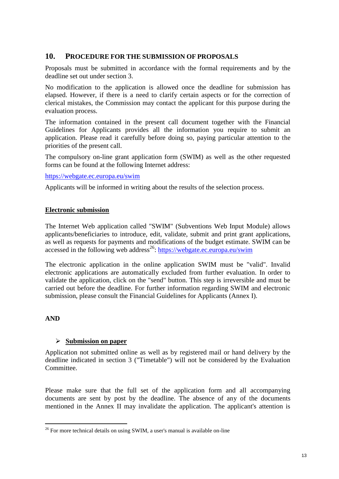# **10. PROCEDURE FOR THE SUBMISSION OF PROPOSALS**

Proposals must be submitted in accordance with the formal requirements and by the deadline set out under section 3.

No modification to the application is allowed once the deadline for submission has elapsed. However, if there is a need to clarify certain aspects or for the correction of clerical mistakes, the Commission may contact the applicant for this purpose during the evaluation process.

The information contained in the present call document together with the Financial Guidelines for Applicants provides all the information you require to submit an application. Please read it carefully before doing so, paying particular attention to the priorities of the present call.

The compulsory on-line grant application form (SWIM) as well as the other requested forms can be found at the following Internet address:

#### <https://webgate.ec.europa.eu/swim>

Applicants will be informed in writing about the results of the selection process.

#### **Electronic submission**

The Internet Web application called "SWIM" (Subventions Web Input Module) allows applicants/beneficiaries to introduce, edit, validate, submit and print grant applications, as well as requests for payments and modifications of the budget estimate. SWIM can be accessed in the following web address<sup>26</sup>:<https://webgate.ec.europa.eu/swim>

The electronic application in the online application SWIM must be "valid". Invalid electronic applications are automatically excluded from further evaluation. In order to validate the application, click on the "send" button. This step is irreversible and must be carried out before the deadline. For further information regarding SWIM and electronic submission, please consult the Financial Guidelines for Applicants (Annex I).

#### **AND**

 $\overline{a}$ 

# **Submission on paper**

Application not submitted online as well as by registered mail or hand delivery by the deadline indicated in section 3 ("Timetable") will not be considered by the Evaluation Committee.

Please make sure that the full set of the application form and all accompanying documents are sent by post by the deadline. The absence of any of the documents mentioned in the Annex II may invalidate the application. The applicant's attention is

 $26$  For more technical details on using SWIM, a user's manual is available on-line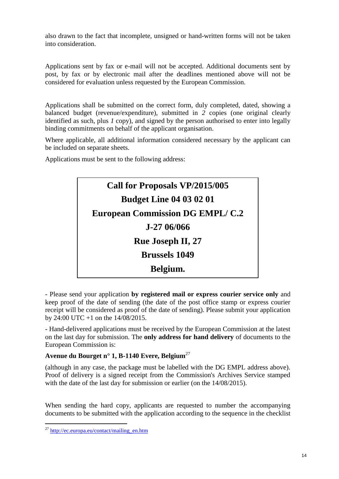also drawn to the fact that incomplete, unsigned or hand-written forms will not be taken into consideration.

Applications sent by fax or e-mail will not be accepted. Additional documents sent by post, by fax or by electronic mail after the deadlines mentioned above will not be considered for evaluation unless requested by the European Commission.

Applications shall be submitted on the correct form, duly completed, dated, showing a balanced budget (revenue/expenditure), submitted in *2* copies (one original clearly identified as such, plus *1* copy), and signed by the person authorised to enter into legally binding commitments on behalf of the applicant organisation.

Where applicable, all additional information considered necessary by the applicant can be included on separate sheets.

Applications must be sent to the following address:



- Please send your application **by registered mail or express courier service only** and keep proof of the date of sending (the date of the post office stamp or express courier receipt will be considered as proof of the date of sending). Please submit your application by 24:00 UTC +1 on the 14/08/2015.

- Hand-delivered applications must be received by the European Commission at the latest on the last day for submission. The **only address for hand delivery** of documents to the European Commission is:

# **Avenue du Bourget n° 1, B-1140 Evere, Belgium**<sup>27</sup>

(although in any case, the package must be labelled with the DG EMPL address above). Proof of delivery is a signed receipt from the Commission's Archives Service stamped with the date of the last day for submission or earlier (on the  $14/08/2015$ ).

When sending the hard copy, applicants are requested to number the accompanying documents to be submitted with the application according to the sequence in the checklist

 $\overline{a}$ <sup>27</sup> [http://ec.europa.eu/contact/mailing\\_en.htm](http://ec.europa.eu/contact/mailing_en.htm)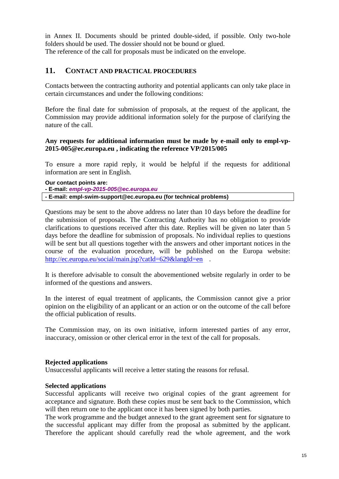in Annex II. Documents should be printed double-sided, if possible. Only two-hole folders should be used. The dossier should not be bound or glued. The reference of the call for proposals must be indicated on the envelope.

# **11. CONTACT AND PRACTICAL PROCEDURES**

Contacts between the contracting authority and potential applicants can only take place in certain circumstances and under the following conditions:

Before the final date for submission of proposals, at the request of the applicant, the Commission may provide additional information solely for the purpose of clarifying the nature of the call.

#### **Any requests for additional information must be made by e-mail only to empl-vp-2015-005@ec.europa.eu , indicating the reference VP/2015/005**

To ensure a more rapid reply, it would be helpful if the requests for additional information are sent in English.

**Our contact points are: - E-mail:** *empl-vp-2015-005@ec.europa.eu* **- E-mail: empl-swim-support@ec.europa.eu (for technical problems)**

Questions may be sent to the above address no later than 10 days before the deadline for the submission of proposals. The Contracting Authority has no obligation to provide clarifications to questions received after this date. Replies will be given no later than 5 days before the deadline for submission of proposals. No individual replies to questions will be sent but all questions together with the answers and other important notices in the course of the evaluation procedure, will be published on the Europa website: <http://ec.europa.eu/social/main.jsp?catId=629&langId=en> .

It is therefore advisable to consult the abovementioned website regularly in order to be informed of the questions and answers.

In the interest of equal treatment of applicants, the Commission cannot give a prior opinion on the eligibility of an applicant or an action or on the outcome of the call before the official publication of results.

The Commission may, on its own initiative, inform interested parties of any error, inaccuracy, omission or other clerical error in the text of the call for proposals.

#### **Rejected applications**

Unsuccessful applicants will receive a letter stating the reasons for refusal.

#### **Selected applications**

Successful applicants will receive two original copies of the grant agreement for acceptance and signature. Both these copies must be sent back to the Commission, which will then return one to the applicant once it has been signed by both parties.

The work programme and the budget annexed to the grant agreement sent for signature to the successful applicant may differ from the proposal as submitted by the applicant. Therefore the applicant should carefully read the whole agreement, and the work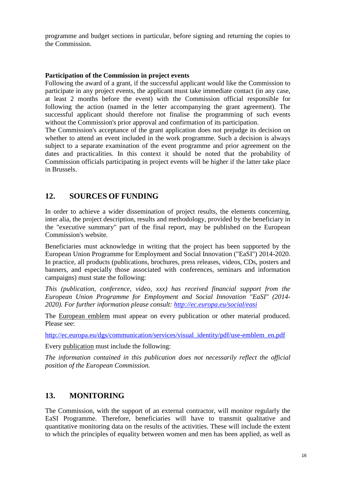programme and budget sections in particular, before signing and returning the copies to the Commission.

#### **Participation of the Commission in project events**

Following the award of a grant, if the successful applicant would like the Commission to participate in any project events, the applicant must take immediate contact (in any case, at least 2 months before the event) with the Commission official responsible for following the action (named in the letter accompanying the grant agreement). The successful applicant should therefore not finalise the programming of such events without the Commission's prior approval and confirmation of its participation.

The Commission's acceptance of the grant application does not prejudge its decision on whether to attend an event included in the work programme. Such a decision is always subject to a separate examination of the event programme and prior agreement on the dates and practicalities. In this context it should be noted that the probability of Commission officials participating in project events will be higher if the latter take place in Brussels.

# **12. SOURCES OF FUNDING**

In order to achieve a wider dissemination of project results, the elements concerning, inter alia, the project description, results and methodology, provided by the beneficiary in the "executive summary" part of the final report, may be published on the European Commission's website.

Beneficiaries must acknowledge in writing that the project has been supported by the European Union Programme for Employment and Social Innovation ("EaSI") 2014-2020. In practice, all products (publications, brochures, press releases, videos, CDs, posters and banners, and especially those associated with conferences, seminars and information campaigns) must state the following:

*This (publication, conference, video, xxx) has received financial support from the European Union Programme for Employment and Social Innovation "EaSI" (2014- 2020). For further information please consult:<http://ec.europa.eu/social/easi>*

The European emblem must appear on every publication or other material produced. Please see:

[http://ec.europa.eu/dgs/communication/services/visual\\_identity/pdf/use-emblem\\_en.pdf](http://ec.europa.eu/dgs/communication/services/visual_identity/pdf/use-emblem_en.pdf)

Every publication must include the following:

*The information contained in this publication does not necessarily reflect the official position of the European Commission.*

# **13. MONITORING**

The Commission, with the support of an external contractor, will monitor regularly the EaSI Programme. Therefore, beneficiaries will have to transmit qualitative and quantitative monitoring data on the results of the activities. These will include the extent to which the principles of equality between women and men has been applied, as well as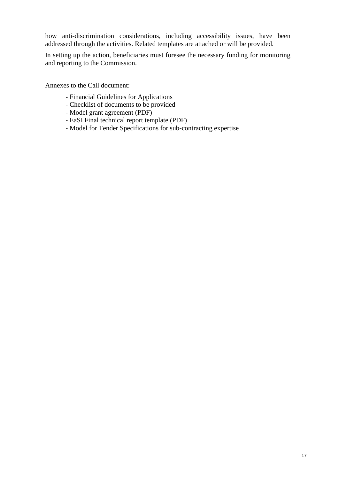how anti-discrimination considerations, including accessibility issues, have been addressed through the activities. Related templates are attached or will be provided.

In setting up the action, beneficiaries must foresee the necessary funding for monitoring and reporting to the Commission.

Annexes to the Call document:

- Financial Guidelines for Applications
- Checklist of documents to be provided
- Model grant agreement (PDF)
- EaSI Final technical report template (PDF)
- Model for Tender Specifications for sub-contracting expertise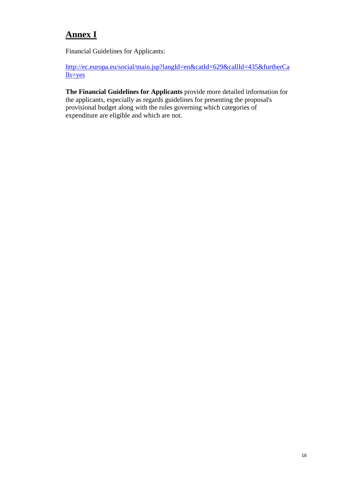# **Annex I**

Financial Guidelines for Applicants:

[http://ec.europa.eu/social/main.jsp?langId=en&catId=629&callId=435&furtherCa](http://ec.europa.eu/social/main.jsp?langId=en&catId=629&callId=435&furtherCalls=yes) [lls=yes](http://ec.europa.eu/social/main.jsp?langId=en&catId=629&callId=435&furtherCalls=yes)

**The Financial Guidelines for Applicants** provide more detailed information for the applicants, especially as regards guidelines for presenting the proposal's provisional budget along with the rules governing which categories of expenditure are eligible and which are not.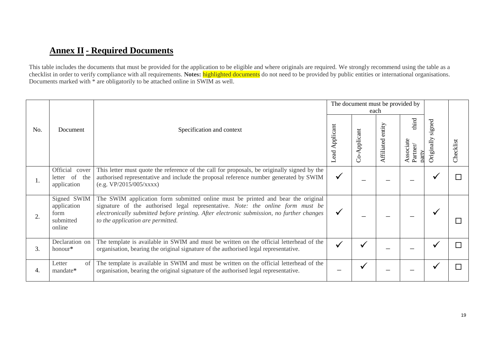# **Annex II- Required Documents**

This table includes the documents that must be provided for the application to be eligible and where originals are required. We strongly recommend using the table as a checklist in order to verify compliance with all requirements. **Notes:** highlighted documents do not need to be provided by public entities or international organisations. Documents marked with  $*$  are obligatorily to be attached online in SWIM as well.

|     |                                                           |                                                                                                                                                                                                                                                                                                       | The document must be provided by<br>each |              |                      |                                         |                      |           |
|-----|-----------------------------------------------------------|-------------------------------------------------------------------------------------------------------------------------------------------------------------------------------------------------------------------------------------------------------------------------------------------------------|------------------------------------------|--------------|----------------------|-----------------------------------------|----------------------|-----------|
| No. | Document                                                  | Specification and context                                                                                                                                                                                                                                                                             | Lead Applicant                           | Co-Applicant | entity<br>Affiliated | third<br>Associate<br>Partner/<br>oarty | signed<br>Originally | Checklist |
| 1.  | Official<br>cover<br>letter of<br>the<br>application      | This letter must quote the reference of the call for proposals, be originally signed by the<br>authorised representative and include the proposal reference number generated by SWIM<br>(e.g. VP/2015/005/xxxx)                                                                                       | $\checkmark$                             |              |                      |                                         |                      |           |
| 2.  | Signed SWIM<br>application<br>form<br>submitted<br>online | The SWIM application form submitted online must be printed and bear the original<br>signature of the authorised legal representative. Note: the online form must be<br>electronically submitted before printing. After electronic submission, no further changes<br>to the application are permitted. | $\checkmark$                             |              |                      |                                         |                      |           |
| 3.  | Declaration on<br>honour*                                 | The template is available in SWIM and must be written on the official letterhead of the<br>organisation, bearing the original signature of the authorised legal representative.                                                                                                                       | $\checkmark$                             |              |                      |                                         |                      |           |
| 4.  | Letter<br>of<br>mandate*                                  | The template is available in SWIM and must be written on the official letterhead of the<br>organisation, bearing the original signature of the authorised legal representative.                                                                                                                       |                                          |              |                      |                                         |                      |           |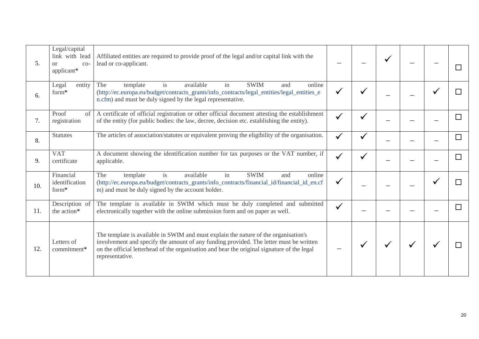| 5.  | Legal/capital<br>link with lead<br>or<br>$CO-$<br>applicant* | Affiliated entities are required to provide proof of the legal and/or capital link with the<br>lead or co-applicant.                                                                                                                                                                            |              |  |  |  |
|-----|--------------------------------------------------------------|-------------------------------------------------------------------------------------------------------------------------------------------------------------------------------------------------------------------------------------------------------------------------------------------------|--------------|--|--|--|
| 6.  | Legal<br>entity<br>form*                                     | The<br><b>SWIM</b><br>template<br>available<br>online<br><i>is</i><br>in<br>and<br>(http://ec.europa.eu/budget/contracts_grants/info_contracts/legal_entities/legal_entities_e<br>n.cfm) and must be duly signed by the legal representative.                                                   |              |  |  |  |
| 7.  | Proof<br>of<br>registration                                  | A certificate of official registration or other official document attesting the establishment<br>of the entity (for public bodies: the law, decree, decision etc. establishing the entity).                                                                                                     |              |  |  |  |
| 8.  | <b>Statutes</b>                                              | The articles of association/statutes or equivalent proving the eligibility of the organisation.                                                                                                                                                                                                 |              |  |  |  |
| 9.  | <b>VAT</b><br>certificate                                    | A document showing the identification number for tax purposes or the VAT number, if<br>applicable.                                                                                                                                                                                              | $\checkmark$ |  |  |  |
| 10. | Financial<br>identification<br>form*                         | available<br><b>SWIM</b><br>is<br>in<br>The<br>template<br>and<br>online<br>(http://ec.europa.eu/budget/contracts_grants/info_contracts/financial_id/financial_id_en.cf<br>m) and must be duly signed by the account holder.                                                                    |              |  |  |  |
| 11. | Description of<br>the action*                                | The template is available in SWIM which must be duly completed and submitted<br>electronically together with the online submission form and on paper as well.                                                                                                                                   | $\checkmark$ |  |  |  |
| 12. | Letters of<br>commitment*                                    | The template is available in SWIM and must explain the nature of the organisation's<br>involvement and specify the amount of any funding provided. The letter must be written<br>on the official letterhead of the organisation and bear the original signature of the legal<br>representative. |              |  |  |  |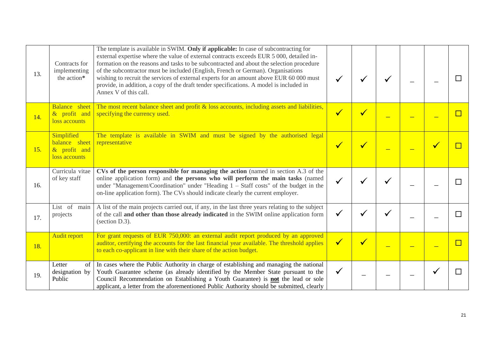| 13. | Contracts for<br>implementing<br>the action*                 | The template is available in SWIM. Only if applicable: In case of subcontracting for<br>external expertise where the value of external contracts exceeds EUR 5 000, detailed in-<br>formation on the reasons and tasks to be subcontracted and about the selection procedure<br>of the subcontractor must be included (English, French or German). Organisations<br>wishing to recruit the services of external experts for an amount above EUR 60 000 must<br>provide, in addition, a copy of the draft tender specifications. A model is included in<br>Annex V of this call. |              |              |  |  |
|-----|--------------------------------------------------------------|---------------------------------------------------------------------------------------------------------------------------------------------------------------------------------------------------------------------------------------------------------------------------------------------------------------------------------------------------------------------------------------------------------------------------------------------------------------------------------------------------------------------------------------------------------------------------------|--------------|--------------|--|--|
| 14. | <b>Balance</b> sheet<br>& profit and<br>loss accounts        | The most recent balance sheet and profit $\&$ loss accounts, including assets and liabilities,<br>specifying the currency used.                                                                                                                                                                                                                                                                                                                                                                                                                                                 | $\checkmark$ | $\checkmark$ |  |  |
| 15. | Simplified<br>balance sheet<br>& profit and<br>loss accounts | The template is available in SWIM and must be signed by the authorised legal<br>representative                                                                                                                                                                                                                                                                                                                                                                                                                                                                                  | $\checkmark$ |              |  |  |
| 16. | Curricula vitae<br>of key staff                              | CVs of the person responsible for managing the action (named in section A.3 of the<br>online application form) and the persons who will perform the main tasks (named<br>under "Management/Coordination" under "Heading $1 -$ Staff costs" of the budget in the<br>on-line application form). The CVs should indicate clearly the current employer.                                                                                                                                                                                                                             |              |              |  |  |
| 17. | List of<br>main<br>projects                                  | A list of the main projects carried out, if any, in the last three years relating to the subject<br>of the call and other than those already indicated in the SWIM online application form<br>(section D.3).                                                                                                                                                                                                                                                                                                                                                                    |              |              |  |  |
| 18. | <b>Audit report</b>                                          | For grant requests of EUR 750,000: an external audit report produced by an approved<br>auditor, certifying the accounts for the last financial year available. The threshold applies<br>to each co-applicant in line with their share of the action budget.                                                                                                                                                                                                                                                                                                                     | $\checkmark$ |              |  |  |
| 19. | Letter<br>of<br>designation by<br>Public                     | In cases where the Public Authority in charge of establishing and managing the national<br>Youth Guarantee scheme (as already identified by the Member State pursuant to the<br>Council Recommendation on Establishing a Youth Guarantee) is <b>not</b> the lead or sole<br>applicant, a letter from the aforementioned Public Authority should be submitted, clearly                                                                                                                                                                                                           | ✔            |              |  |  |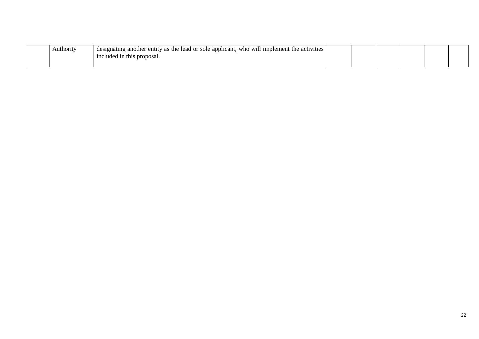| Authority | The result of the sea of sole applicant, who will implement the activities<br>designating another |  |  |  |
|-----------|---------------------------------------------------------------------------------------------------|--|--|--|
|           | cluded in this proposal.<br>1no                                                                   |  |  |  |
|           |                                                                                                   |  |  |  |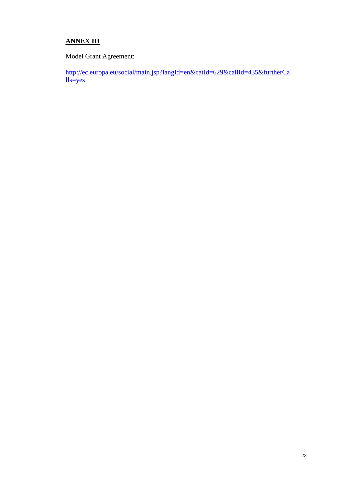# **ANNEX III**

Model Grant Agreement:

[http://ec.europa.eu/social/main.jsp?langId=en&catId=629&callId=435&furtherCa](http://ec.europa.eu/social/main.jsp?langId=en&catId=629&callId=435&furtherCalls=yes) [lls=yes](http://ec.europa.eu/social/main.jsp?langId=en&catId=629&callId=435&furtherCalls=yes)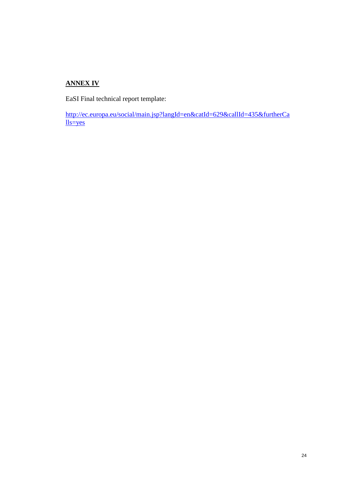# **ANNEX IV**

EaSI Final technical report template:

[http://ec.europa.eu/social/main.jsp?langId=en&catId=629&callId=435&furtherCa](http://ec.europa.eu/social/main.jsp?langId=en&catId=629&callId=435&furtherCalls=yes) [lls=yes](http://ec.europa.eu/social/main.jsp?langId=en&catId=629&callId=435&furtherCalls=yes)